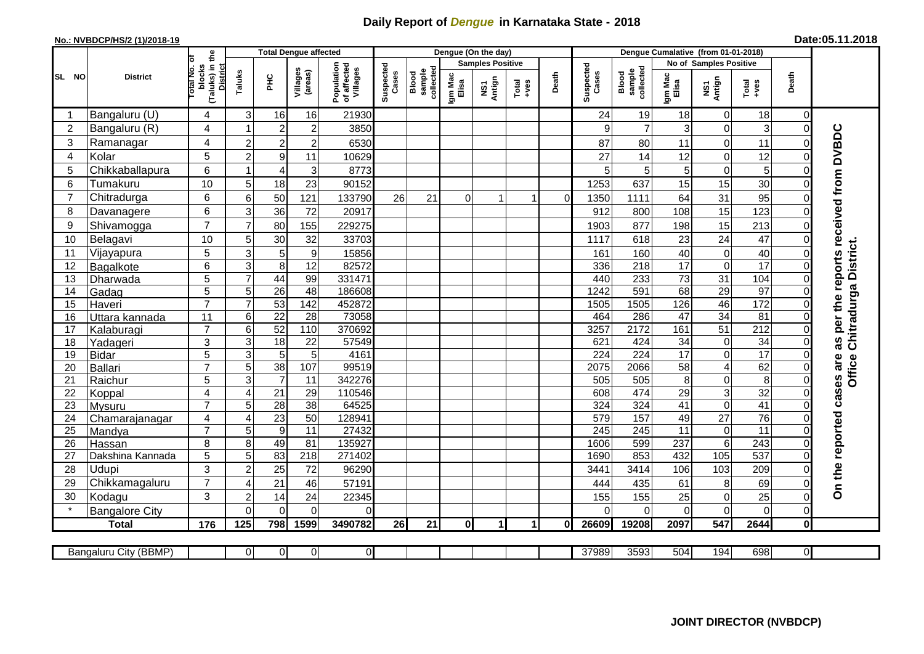## **Daily Report of** *Dengue* **in Karnataka State - 2018**

## **No.: NVBDCP/HS/2 (1)/2018-19**

| Date:05.11.2018 |  |
|-----------------|--|
|-----------------|--|

|                |                       |                                                      |                 |                         | <b>Total Dengue affected</b> | Dengue (On the day)<br>Dengue Cumalative (from 01-01-2018) |                    |                              |                  |                         |             |                |                    |                              |                  |                               |                  |                  |                                        |
|----------------|-----------------------|------------------------------------------------------|-----------------|-------------------------|------------------------------|------------------------------------------------------------|--------------------|------------------------------|------------------|-------------------------|-------------|----------------|--------------------|------------------------------|------------------|-------------------------------|------------------|------------------|----------------------------------------|
|                | <b>District</b>       |                                                      |                 |                         |                              |                                                            |                    |                              |                  | <b>Samples Positive</b> |             |                |                    |                              |                  | <b>No of Samples Positive</b> |                  |                  |                                        |
| SL NO          |                       | (Taluks) in the<br>District<br>otal No. or<br>blocks | Taluks          | ΞÉ                      | Villages<br>(areas)          | Population<br>of affected<br>Villages                      | Suspected<br>Cases | Blood<br>sample<br>collected | Igm Mac<br>Elisa | NS1<br>Antign           | $Totaed$    | Death          | Suspected<br>Cases | Blood<br>sample<br>collected | Igm Mac<br>Elisa | NS1<br>Antign                 | $Tota$<br>$+ves$ | Death            |                                        |
|                | Bangaluru (U)         | 4                                                    | 3               | 16                      | 16                           | 21930                                                      |                    |                              |                  |                         |             |                | 24                 | 19                           | 18               | $\mathbf 0$                   | 18               | $\mathbf 0$      |                                        |
| $\overline{2}$ | Bangaluru (R)         | $\overline{4}$                                       |                 | $\overline{2}$          | $\overline{c}$               | 3850                                                       |                    |                              |                  |                         |             |                | 9                  | $\overline{7}$               | 3                | $\mathbf 0$                   | 3                | $\overline{0}$   |                                        |
| 3              | Ramanagar             | 4                                                    | $\overline{2}$  | $\overline{2}$          | $\overline{c}$               | 6530                                                       |                    |                              |                  |                         |             |                | 87                 | 80                           | 11               | 0                             | 11               | $\Omega$         | as per the reports received from DVBDC |
| $\overline{4}$ | Kolar                 | 5                                                    | $\overline{2}$  | $\boldsymbol{9}$        | 11                           | 10629                                                      |                    |                              |                  |                         |             |                | 27                 | 14                           | 12               | 0                             | 12               | $\Omega$         |                                        |
| 5              | Chikkaballapura       | $6\phantom{1}$                                       |                 | $\overline{4}$          | 3                            | 8773                                                       |                    |                              |                  |                         |             |                | 5                  | 5                            | 5                | 0                             | 5                | $\Omega$         |                                        |
| 6              | Tumakuru              | 10                                                   | 5               | 18                      | 23                           | 90152                                                      |                    |                              |                  |                         |             |                | 1253               | 637                          | 15               | 15                            | 30               | $\Omega$         |                                        |
| $\overline{7}$ | Chitradurga           | 6                                                    | 6               | 50                      | 121                          | 133790                                                     | 26                 | 21                           | $\Omega$         |                         |             | $\overline{0}$ | 1350               | 1111                         | 64               | 31                            | 95               | $\Omega$         |                                        |
| 8              | Davanagere            | $6\phantom{1}$                                       | 3               | 36                      | 72                           | 20917                                                      |                    |                              |                  |                         |             |                | 912                | 800                          | 108              | 15                            | 123              | $\Omega$         |                                        |
| 9              | Shivamogga            | $\overline{7}$                                       | $\overline{7}$  | 80                      | 155                          | 229275                                                     |                    |                              |                  |                         |             |                | 1903               | 877                          | 198              | 15                            | 213              | $\Omega$         |                                        |
| 10             | Belagavi              | 10                                                   | 5               | 30                      | 32                           | 33703                                                      |                    |                              |                  |                         |             |                | 1117               | 618                          | 23               | $\overline{24}$               | 47               | $\Omega$         |                                        |
| 11             | Vijayapura            | $\overline{5}$                                       | 3               | $\sqrt{5}$              | 9                            | 15856                                                      |                    |                              |                  |                         |             |                | 161                | 160                          | 40               | $\mathbf 0$                   | 40               | $\mathbf 0$      | Chitradurga District.                  |
| 12             | Bagalkote             | $6\phantom{1}$                                       | 3               | 8                       | $\overline{12}$              | 82572                                                      |                    |                              |                  |                         |             |                | 336                | 218                          | $\overline{17}$  | $\overline{0}$                | 17               | $\mathbf 0$      |                                        |
| 13             | Dharwada              | 5                                                    | $\overline{7}$  | 44                      | 99                           | 331471                                                     |                    |                              |                  |                         |             |                | 440                | 233                          | 73               | $\overline{31}$               | 104              | $\mathbf 0$      |                                        |
| 14             | Gadag                 | $\overline{5}$                                       | 5               | $\overline{26}$         | 48                           | 186608                                                     |                    |                              |                  |                         |             |                | 1242               | 591                          | 68               | 29                            | 97               | $\mathbf 0$      |                                        |
| 15             | Haveri                | $\overline{7}$                                       | $\overline{7}$  | $\overline{53}$         | 142                          | 452872                                                     |                    |                              |                  |                         |             |                | 1505               | 1505                         | 126              | 46                            | $\frac{1}{172}$  | $\mathbf 0$      |                                        |
| 16             | Uttara kannada        | 11                                                   | $6\phantom{1}6$ | 22                      | $\overline{28}$              | 73058                                                      |                    |                              |                  |                         |             |                | 464                | 286                          | 47               | 34                            | 81               | $\Omega$         |                                        |
| 17             | Kalaburagi            | $\overline{7}$                                       | 6               | 52                      | 110                          | 370692                                                     |                    |                              |                  |                         |             |                | 3257               | 2172                         | 161              | 51                            | $\overline{212}$ | $\Omega$         |                                        |
| 18             | Yadageri              | 3                                                    | 3               | 18                      | 22                           | 57549                                                      |                    |                              |                  |                         |             |                | 621                | 424                          | 34               | $\,0\,$                       | 34               | $\Omega$         |                                        |
| 19             | <b>Bidar</b>          | $\overline{5}$                                       | 3               | $\overline{5}$          | $\overline{5}$               | 4161                                                       |                    |                              |                  |                         |             |                | 224                | 224                          | 17               | $\overline{0}$                | $\overline{17}$  | $\Omega$         |                                        |
| 20             | Ballari               | $\overline{7}$                                       | 5               | 38                      | 107                          | 99519                                                      |                    |                              |                  |                         |             |                | 2075               | 2066                         | 58               | $\overline{\mathbf{4}}$       | 62               | $\mathbf 0$      | Office                                 |
| 21             | Raichur               | $\overline{5}$                                       | 3               | $\overline{\mathbf{7}}$ | $\overline{11}$              | 342276                                                     |                    |                              |                  |                         |             |                | 505                | 505                          | $\overline{8}$   | 0                             | $\overline{8}$   | $\mathbf 0$      |                                        |
| 22             | Koppal                | 4                                                    | $\overline{4}$  | 21                      | 29                           | 110546                                                     |                    |                              |                  |                         |             |                | 608                | 474                          | 29               | 3                             | 32               | $\mathbf 0$      |                                        |
| 23             | Mysuru                | $\overline{7}$                                       | 5               | $\overline{28}$         | $\overline{38}$              | 64525                                                      |                    |                              |                  |                         |             |                | 324                | 324                          | $\overline{41}$  | $\overline{0}$                | 41               | $\Omega$         |                                        |
| 24             | Chamarajanagar        | 4                                                    | $\overline{4}$  | 23                      | 50                           | 128941                                                     |                    |                              |                  |                         |             |                | 579                | 157                          | 49               | 27                            | 76               | $\Omega$         |                                        |
| 25             | Mandya                | $\overline{7}$                                       | 5               | $9\,$                   | 11                           | 27432                                                      |                    |                              |                  |                         |             |                | 245                | 245                          | 11               | $\pmb{0}$                     | $\overline{11}$  | $\Omega$         |                                        |
| 26             | Hassan                | 8                                                    | 8               | 49                      | 81                           | 135927                                                     |                    |                              |                  |                         |             |                | 1606               | 599                          | 237              | $\,6$                         | 243              | $\mathbf 0$      |                                        |
| 27             | Dakshina Kannada      | 5                                                    | 5               | 83                      | $\overline{218}$             | 271402                                                     |                    |                              |                  |                         |             |                | 1690               | 853                          | 432              | 105                           | 537              | $\mathbf 0$      |                                        |
| 28             | Udupi                 | 3                                                    | $\overline{2}$  | 25                      | 72                           | 96290                                                      |                    |                              |                  |                         |             |                | 3441               | 3414                         | 106              | 103                           | 209              | $\mathbf 0$      |                                        |
| 29             | Chikkamagaluru        | $\overline{7}$                                       | 4               | 21                      | 46                           | 57191                                                      |                    |                              |                  |                         |             |                | 444                | 435                          | 61               | 8                             | 69               | $\Omega$         | On the reported cases are              |
| 30             | Kodagu                | 3                                                    | $\overline{2}$  | 14                      | 24                           | 22345                                                      |                    |                              |                  |                         |             |                | 155                | 155                          | 25               | 0                             | 25               | $\Omega$         |                                        |
|                | <b>Bangalore City</b> |                                                      | $\mathbf{0}$    | $\overline{0}$          | $\mathbf 0$                  | 0                                                          |                    |                              |                  |                         |             |                | $\Omega$           | $\Omega$                     | 0                | $\mathbf 0$                   | $\mathbf 0$      | $\boldsymbol{0}$ |                                        |
|                | <b>Total</b>          | 176                                                  | 125             | 798                     | 1599                         | 3490782                                                    | 26                 | 21                           | $\mathbf{0}$     | 1                       | $\mathbf 1$ | 0              | 26609              | 19208                        | 2097             | 547                           | 2644             | $\pmb{0}$        |                                        |
|                |                       |                                                      |                 |                         |                              |                                                            |                    |                              |                  |                         |             |                |                    |                              |                  |                               |                  |                  |                                        |
|                | Bangaluru City (BBMP) |                                                      | $\overline{0}$  | $\overline{0}$          | $\overline{0}$               | $\overline{O}$                                             |                    |                              |                  |                         |             |                | 37989              | 3593                         | 504              | 194                           | 698              | $\overline{0}$   |                                        |